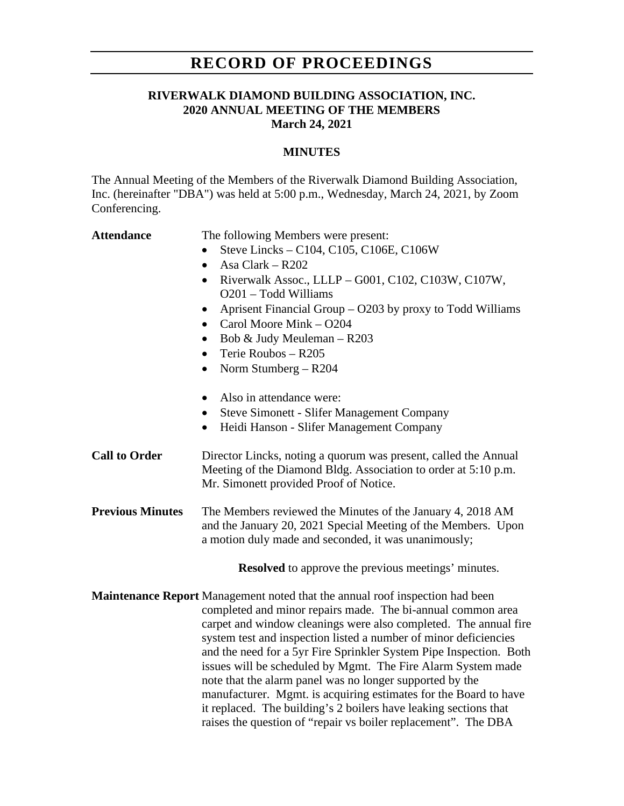## **RECORD OF PROCEEDINGS**

### **RIVERWALK DIAMOND BUILDING ASSOCIATION, INC. 2020 ANNUAL MEETING OF THE MEMBERS March 24, 2021**

### **MINUTES**

The Annual Meeting of the Members of the Riverwalk Diamond Building Association, Inc. (hereinafter "DBA") was held at 5:00 p.m., Wednesday, March 24, 2021, by Zoom Conferencing.

**Attendance** The following Members were present:

- Steve Lincks C104, C105, C106E, C106W
- Asa Clark R202
- Riverwalk Assoc., LLLP G001, C102, C103W, C107W, O201 – Todd Williams
- Aprisent Financial Group O203 by proxy to Todd Williams
- Carol Moore Mink O204
- Bob & Judy Meuleman R203
- Terie Roubos R205
- Norm Stumberg R204
- Also in attendance were:
- Steve Simonett Slifer Management Company
- Heidi Hanson Slifer Management Company
- **Call to Order** Director Lincks, noting a quorum was present, called the Annual Meeting of the Diamond Bldg. Association to order at 5:10 p.m. Mr. Simonett provided Proof of Notice.
- **Previous Minutes** The Members reviewed the Minutes of the January 4, 2018 AM and the January 20, 2021 Special Meeting of the Members. Upon a motion duly made and seconded, it was unanimously;

**Resolved** to approve the previous meetings' minutes.

**Maintenance Report** Management noted that the annual roof inspection had been completed and minor repairs made. The bi-annual common area carpet and window cleanings were also completed. The annual fire system test and inspection listed a number of minor deficiencies and the need for a 5yr Fire Sprinkler System Pipe Inspection. Both issues will be scheduled by Mgmt. The Fire Alarm System made note that the alarm panel was no longer supported by the manufacturer. Mgmt. is acquiring estimates for the Board to have it replaced. The building's 2 boilers have leaking sections that raises the question of "repair vs boiler replacement". The DBA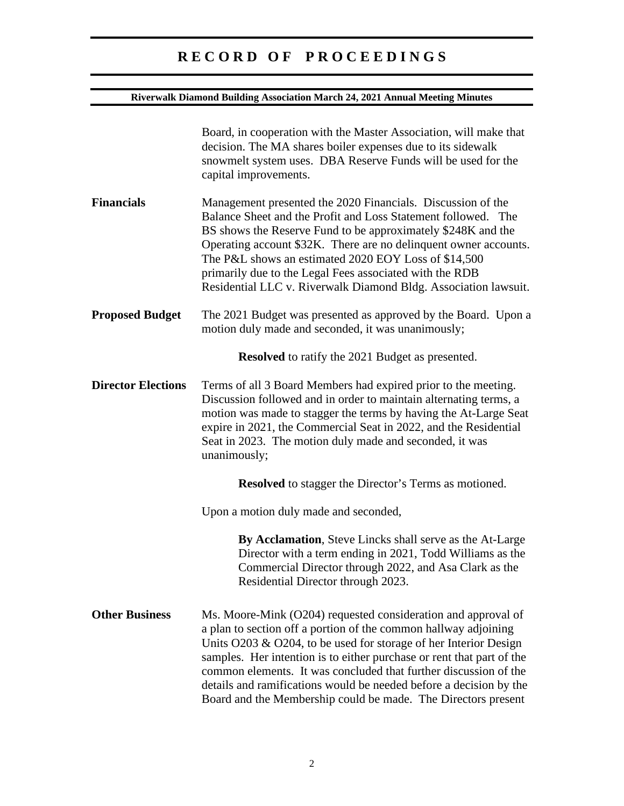# **R E C O R D O F P R O C E E D I N G S**

### **Riverwalk Diamond Building Association March 24, 2021 Annual Meeting Minutes**

|                           | Board, in cooperation with the Master Association, will make that<br>decision. The MA shares boiler expenses due to its sidewalk<br>snowmelt system uses. DBA Reserve Funds will be used for the<br>capital improvements.                                                                                                                                                                                                                                                                |
|---------------------------|------------------------------------------------------------------------------------------------------------------------------------------------------------------------------------------------------------------------------------------------------------------------------------------------------------------------------------------------------------------------------------------------------------------------------------------------------------------------------------------|
| <b>Financials</b>         | Management presented the 2020 Financials. Discussion of the<br>Balance Sheet and the Profit and Loss Statement followed. The<br>BS shows the Reserve Fund to be approximately \$248K and the<br>Operating account \$32K. There are no delinquent owner accounts.<br>The P&L shows an estimated 2020 EOY Loss of \$14,500<br>primarily due to the Legal Fees associated with the RDB<br>Residential LLC v. Riverwalk Diamond Bldg. Association lawsuit.                                   |
| <b>Proposed Budget</b>    | The 2021 Budget was presented as approved by the Board. Upon a<br>motion duly made and seconded, it was unanimously;                                                                                                                                                                                                                                                                                                                                                                     |
|                           | <b>Resolved</b> to ratify the 2021 Budget as presented.                                                                                                                                                                                                                                                                                                                                                                                                                                  |
| <b>Director Elections</b> | Terms of all 3 Board Members had expired prior to the meeting.<br>Discussion followed and in order to maintain alternating terms, a<br>motion was made to stagger the terms by having the At-Large Seat<br>expire in 2021, the Commercial Seat in 2022, and the Residential<br>Seat in 2023. The motion duly made and seconded, it was<br>unanimously;                                                                                                                                   |
|                           | <b>Resolved</b> to stagger the Director's Terms as motioned.                                                                                                                                                                                                                                                                                                                                                                                                                             |
|                           | Upon a motion duly made and seconded,                                                                                                                                                                                                                                                                                                                                                                                                                                                    |
|                           | By Acclamation, Steve Lincks shall serve as the At-Large<br>Director with a term ending in 2021, Todd Williams as the<br>Commercial Director through 2022, and Asa Clark as the<br>Residential Director through 2023.                                                                                                                                                                                                                                                                    |
| <b>Other Business</b>     | Ms. Moore-Mink (O204) requested consideration and approval of<br>a plan to section off a portion of the common hallway adjoining<br>Units O203 & O204, to be used for storage of her Interior Design<br>samples. Her intention is to either purchase or rent that part of the<br>common elements. It was concluded that further discussion of the<br>details and ramifications would be needed before a decision by the<br>Board and the Membership could be made. The Directors present |